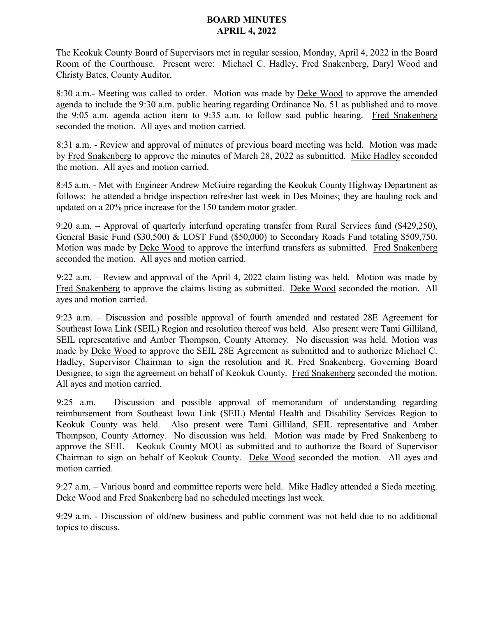## **BOARD MINUTES APRIL 4, 2022**

The Keokuk County Board of Supervisors met in regular session, Monday, April 4, 2022 in the Board Room of the Courthouse. Present were: Michael C. Hadley, Fred Snakenberg, Daryl Wood and Christy Bates, County Auditor.

8:30 a.m.- Meeting was called to order. Motion was made by **Deke Wood** to approve the amended agenda to include the 9:30 a.m. public hearing regarding Ordinance No. 51 as published and to move the 9:05 a.m. agenda action item to 9:35 a.m. to follow said public hearing. Fred Snakenberg seconded the motion. All ayes and motion carried.

8:31 a.m. - Review and approval of minutes of previous board meeting was held. Motion was made by Fred Snakenberg to approve the minutes of March 28, 2022 as submitted. Mike Hadley seconded the motion. All ayes and motion carried.

8:45 a.m. - Met with Engineer Andrew McGuire regarding the Keokuk County Highway Department as follows: he attended a bridge inspection refresher last week in Des Moines; they are hauling rock and updated on a 20% price increase for the 150 tandem motor grader.

9:20 a.m. – Approval of quarterly interfund operating transfer from Rural Services fund (\$429,250), General Basic Fund (\$30,500) & LOST Fund (\$50,000) to Secondary Roads Fund totaling \$509,750. Motion was made by Deke Wood to approve the interfund transfers as submitted. Fred Snakenberg seconded the motion. All ayes and motion carried.

9:22 a.m. – Review and approval of the April 4, 2022 claim listing was held. Motion was made by Fred Snakenberg to approve the claims listing as submitted. Deke Wood seconded the motion. All ayes and motion carried.

9:23 a.m. – Discussion and possible approval of fourth amended and restated 28E Agreement for Southeast Iowa Link (SEIL) Region and resolution thereof was held. Also present were Tami Gilliland, SEIL representative and Amber Thompson, County Attorney. No discussion was held. Motion was made by Deke Wood to approve the SEIL 28E Agreement as submitted and to authorize Michael C. Hadley, Supervisor Chairman to sign the resolution and R. Fred Snakenberg, Governing Board Designee, to sign the agreement on behalf of Keokuk County. Fred Snakenberg seconded the motion. All ayes and motion carried.

9:25 a.m. – Discussion and possible approval of memorandum of understanding regarding reimbursement from Southeast Iowa Link (SEIL) Mental Health and Disability Services Region to Keokuk County was held. Also present were Tami Gilliland, SEIL representative and Amber Thompson, County Attorney. No discussion was held. Motion was made by Fred Snakenberg to approve the SEIL – Keokuk County MOU as submitted and to authorize the Board of Supervisor Chairman to sign on behalf of Keokuk County. Deke Wood seconded the motion. All ayes and motion carried.

9:27 a.m. – Various board and committee reports were held. Mike Hadley attended a Sieda meeting. Deke Wood and Fred Snakenberg had no scheduled meetings last week.

9:29 a.m. - Discussion of old/new business and public comment was not held due to no additional topics to discuss.